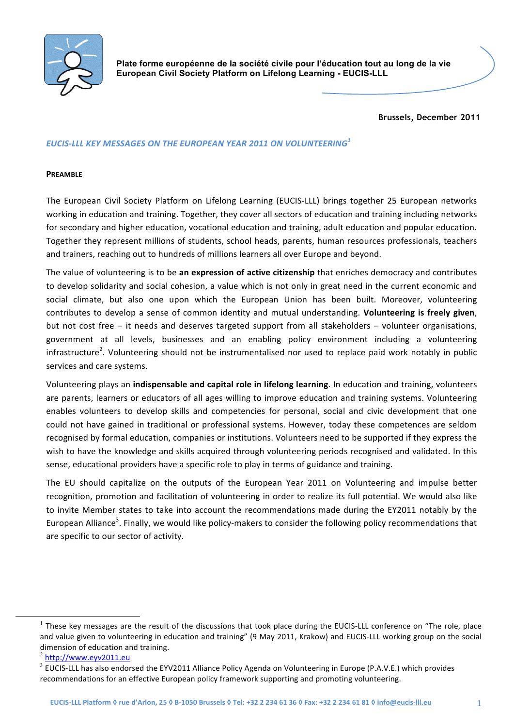

**Plate forme européenne de la société civile pour l'éducation tout au long de la vie European Civil Society Platform on Lifelong Learning - EUCIS-LLL**

**Brussels, December 2011**

## *EUCIS&LLL(KEY(MESSAGES(ON(THE(EUROPEAN(YEAR(2011(ON(VOLUNTEERING<sup>1</sup>*

#### **PREAMBLE**

The European Civil Society Platform on Lifelong Learning (EUCIS-LLL) brings together 25 European networks working in education and training. Together, they cover all sectors of education and training including networks for secondary and higher education, vocational education and training, adult education and popular education. Together they represent millions of students, school heads, parents, human resources professionals, teachers and trainers, reaching out to hundreds of millions learners all over Europe and beyond.

The value of volunteering is to be an expression of active citizenship that enriches democracy and contributes to develop solidarity and social cohesion, a value which is not only in great need in the current economic and social climate, but also one upon which the European Union has been built. Moreover, volunteering contributes to develop a sense of common identity and mutual understanding. Volunteering is freely given, but not cost free – it needs and deserves targeted support from all stakeholders – volunteer organisations, government at all levels, businesses and an enabling policy environment including a volunteering infrastructure<sup>2</sup>. Volunteering should not be instrumentalised nor used to replace paid work notably in public services and care systems.

Volunteering plays an *indispensable and capital role in lifelong learning*. In education and training, volunteers are parents, learners or educators of all ages willing to improve education and training systems. Volunteering enables volunteers to develop skills and competencies for personal, social and civic development that one could not have gained in traditional or professional systems. However, today these competences are seldom recognised by formal education, companies or institutions. Volunteers need to be supported if they express the wish to have the knowledge and skills acquired through volunteering periods recognised and validated. In this sense, educational providers have a specific role to play in terms of guidance and training.

The EU should capitalize on the outputs of the European Year 2011 on Volunteering and impulse better recognition, promotion and facilitation of volunteering in order to realize its full potential. We would also like to invite Member states to take into account the recommendations made during the EY2011 notably by the European Alliance<sup>3</sup>. Finally, we would like policy-makers to consider the following policy recommendations that are specific to our sector of activity.

 $<sup>1</sup>$  These key messages are the result of the discussions that took place during the EUCIS-LLL conference on "The role, place</sup> and value given to volunteering in education and training" (9 May 2011, Krakow) and EUCIS-LLL working group on the social dimension of education and training.

<sup>2</sup> http://www.eyv2011.eu

 $3$  EUCIS-LLL has also endorsed the EYV2011 Alliance Policy Agenda on Volunteering in Europe (P.A.V.E.) which provides recommendations for an effective European policy framework supporting and promoting volunteering.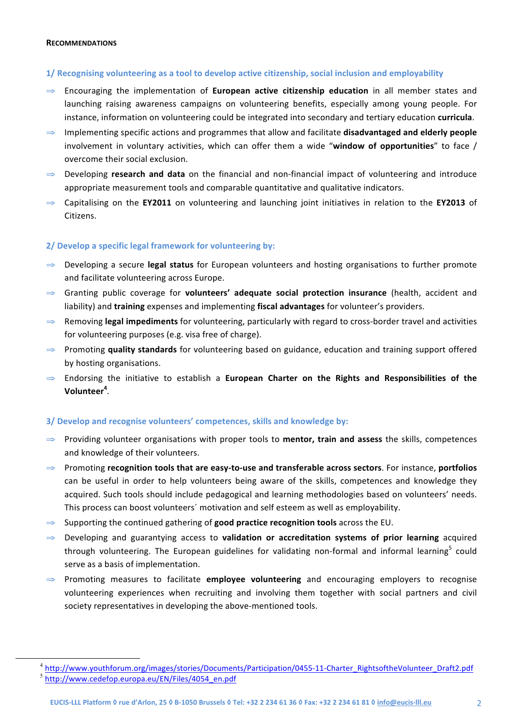#### **RECOMMENDATIONS**

## 1/ Recognising volunteering as a tool to develop active citizenship, social inclusion and employability

- $\Rightarrow$  Encouraging the implementation of **European active citizenship education** in all member states and launching raising awareness campaigns on volunteering benefits, especially among young people. For instance, information on volunteering could be integrated into secondary and tertiary education curricula.
- $\Rightarrow$  Implementing specific actions and programmes that allow and facilitate **disadvantaged and elderly people** involvement in voluntary activities, which can offer them a wide "window of opportunities" to face / overcome their social exclusion.
- ⇒ Developing **research and data** on the financial and non-financial impact of volunteering and introduce appropriate measurement tools and comparable quantitative and qualitative indicators.
- $\Rightarrow$  Capitalising on the **EY2011** on volunteering and launching joint initiatives in relation to the **EY2013** of Citizens.

# **2/ Develop a specific legal framework for volunteering by:**

- ⇒ Developing a secure legal status for European volunteers and hosting organisations to further promote and facilitate volunteering across Europe.
- $\Rightarrow$  Granting public coverage for **volunteers' adequate social protection insurance** (health, accident and liability) and *training* expenses and implementing fiscal advantages for volunteer's providers.
- $⇒$  Removing **legal impediments** for volunteering, particularly with regard to cross-border travel and activities for volunteering purposes (e.g. visa free of charge).
- ⇒ Promoting **quality standards** for volunteering based on guidance, education and training support offered by hosting organisations.
- $\Rightarrow$  Endorsing the initiative to establish a **European Charter on the Rights and Responsibilities of the Volunteer<sup>4</sup>** .

# **3/ Develop and recognise volunteers' competences, skills and knowledge by:**

- $\Rightarrow$  Providing volunteer organisations with proper tools to **mentor, train and assess** the skills, competences and knowledge of their volunteers.
- $⇒$  Promoting **recognition tools that are easy-to-use and transferable across sectors**. For instance, **portfolios** can be useful in order to help volunteers being aware of the skills, competences and knowledge they acquired. Such tools should include pedagogical and learning methodologies based on volunteers' needs. This process can boost volunteers' motivation and self esteem as well as employability.
- $\Rightarrow$  Supporting the continued gathering of **good practice recognition tools** across the EU.
- $\Rightarrow$  Developing and guarantying access to **validation or accreditation systems of prior learning** acquired through volunteering. The European guidelines for validating non-formal and informal learning<sup>5</sup> could serve as a basis of implementation.
- $\Rightarrow$  Promoting measures to facilitate **employee volunteering** and encouraging employers to recognise volunteering experiences when recruiting and involving them together with social partners and civil society representatives in developing the above-mentioned tools.

 <sup>4</sup> http://www.youthforum.org/images/stories/Documents/Participation/0455=11=Charter\_RightsoftheVolunteer\_Draft2.pdf <sup>5</sup> http://www.cedefop.europa.eu/EN/Files/4054\_en.pdf